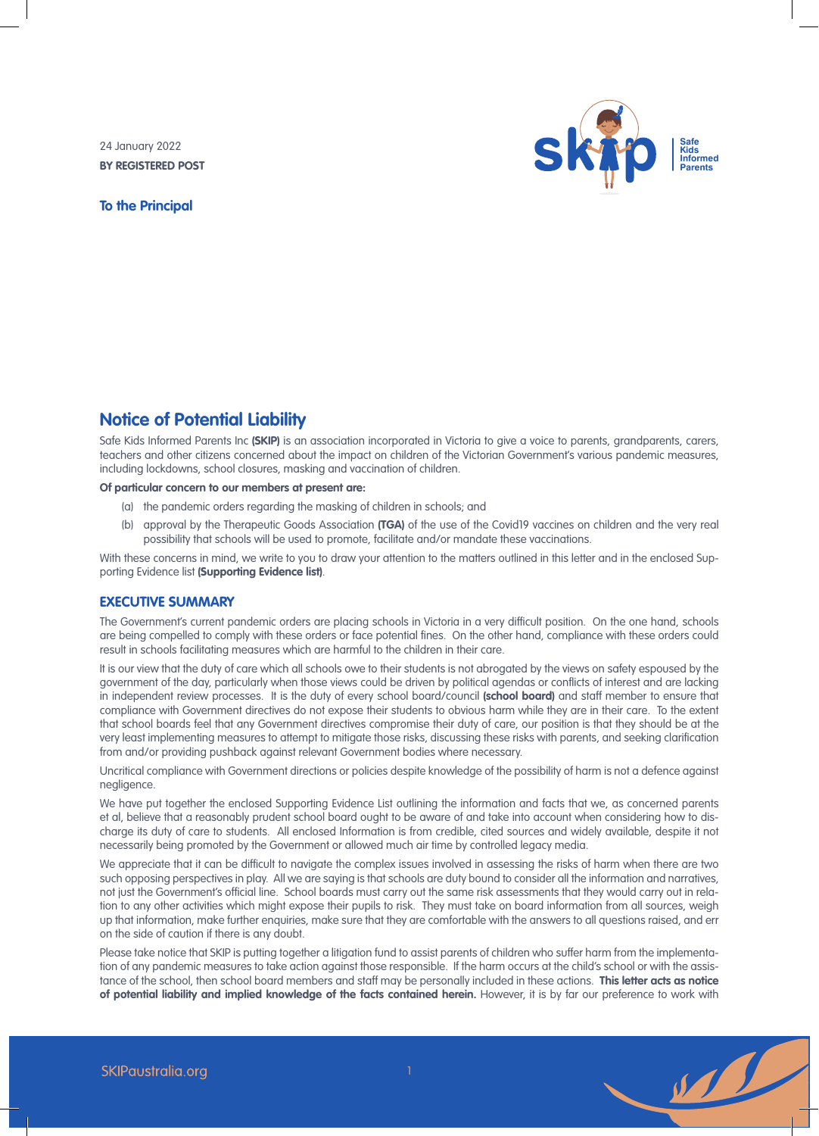24 January 2022 **BY REGISTERED POST**

**To the Principal**



# **Notice of Potential Liability**

Safe Kids Informed Parents Inc **(SKIP)** is an association incorporated in Victoria to give a voice to parents, grandparents, carers, teachers and other citizens concerned about the impact on children of the Victorian Government's various pandemic measures, including lockdowns, school closures, masking and vaccination of children.

# **Of particular concern to our members at present are:**

- (a) the pandemic orders regarding the masking of children in schools; and
- (b) approval by the Therapeutic Goods Association **(TGA)** of the use of the Covid19 vaccines on children and the very real possibility that schools will be used to promote, facilitate and/or mandate these vaccinations.

With these concerns in mind, we write to you to draw your attention to the matters outlined in this letter and in the enclosed Supporting Evidence list **(Supporting Evidence list)**.

# **EXECUTIVE SUMMARY**

The Government's current pandemic orders are placing schools in Victoria in a very difficult position. On the one hand, schools are being compelled to comply with these orders or face potential fines. On the other hand, compliance with these orders could result in schools facilitating measures which are harmful to the children in their care.

It is our view that the duty of care which all schools owe to their students is not abrogated by the views on safety espoused by the government of the day, particularly when those views could be driven by political agendas or conflicts of interest and are lacking in independent review processes. It is the duty of every school board/council **(school board)** and staff member to ensure that compliance with Government directives do not expose their students to obvious harm while they are in their care. To the extent that school boards feel that any Government directives compromise their duty of care, our position is that they should be at the very least implementing measures to attempt to mitigate those risks, discussing these risks with parents, and seeking clarification from and/or providing pushback against relevant Government bodies where necessary.

Uncritical compliance with Government directions or policies despite knowledge of the possibility of harm is not a defence against negligence.

We have put together the enclosed Supporting Evidence List outlining the information and facts that we, as concerned parents et al, believe that a reasonably prudent school board ought to be aware of and take into account when considering how to discharge its duty of care to students. All enclosed Information is from credible, cited sources and widely available, despite it not necessarily being promoted by the Government or allowed much air time by controlled legacy media.

We appreciate that it can be difficult to navigate the complex issues involved in assessing the risks of harm when there are two such opposing perspectives in play. All we are saying is that schools are duty bound to consider all the information and narratives, not just the Government's official line. School boards must carry out the same risk assessments that they would carry out in relation to any other activities which might expose their pupils to risk. They must take on board information from all sources, weigh up that information, make further enquiries, make sure that they are comfortable with the answers to all questions raised, and err on the side of caution if there is any doubt.

Please take notice that SKIP is putting together a litigation fund to assist parents of children who suffer harm from the implementation of any pandemic measures to take action against those responsible. If the harm occurs at the child's school or with the assistance of the school, then school board members and staff may be personally included in these actions. **This letter acts as notice of potential liability and implied knowledge of the facts contained herein.** However, it is by far our preference to work with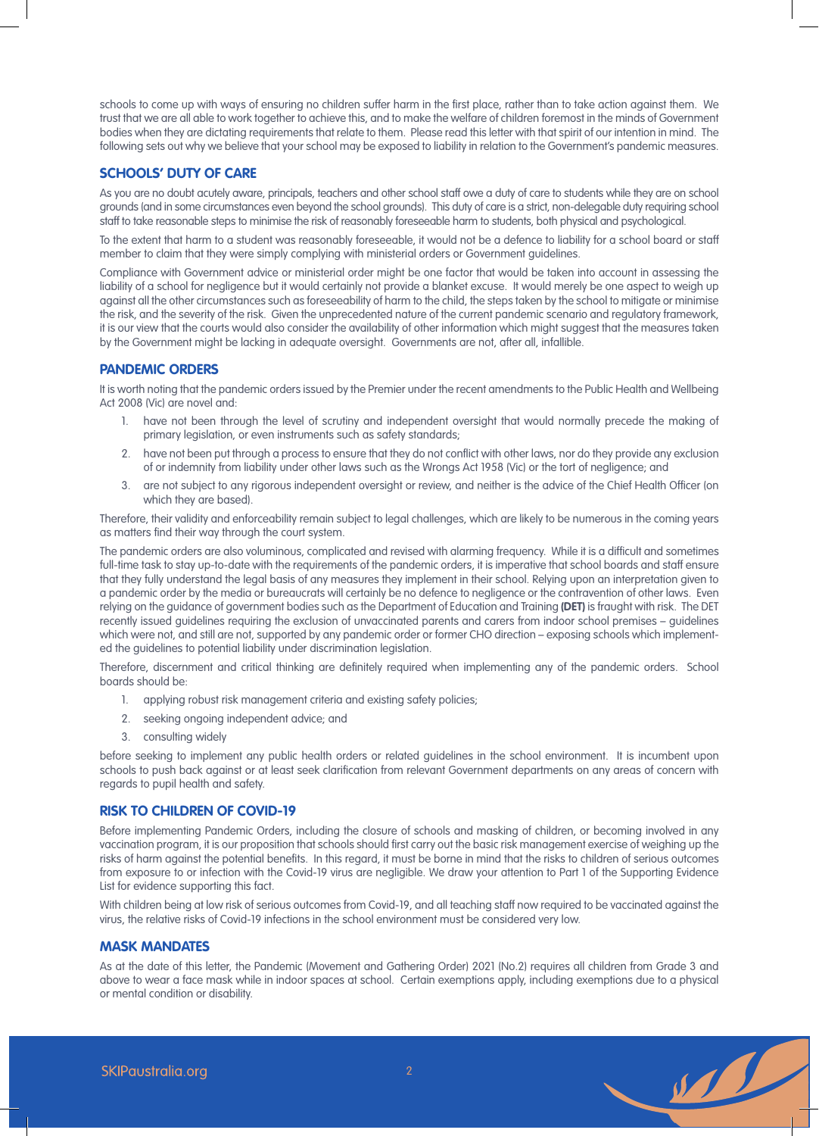schools to come up with ways of ensuring no children suffer harm in the first place, rather than to take action against them. We trust that we are all able to work together to achieve this, and to make the welfare of children foremost in the minds of Government bodies when they are dictating requirements that relate to them. Please read this letter with that spirit of our intention in mind. The following sets out why we believe that your school may be exposed to liability in relation to the Government's pandemic measures.

# **SCHOOLS' DUTY OF CARE**

As you are no doubt acutely aware, principals, teachers and other school staff owe a duty of care to students while they are on school grounds (and in some circumstances even beyond the school grounds). This duty of care is a strict, non-delegable duty requiring school staff to take reasonable steps to minimise the risk of reasonably foreseeable harm to students, both physical and psychological.

To the extent that harm to a student was reasonably foreseeable, it would not be a defence to liability for a school board or staff member to claim that they were simply complying with ministerial orders or Government guidelines.

Compliance with Government advice or ministerial order might be one factor that would be taken into account in assessing the liability of a school for negligence but it would certainly not provide a blanket excuse. It would merely be one aspect to weigh up against all the other circumstances such as foreseeability of harm to the child, the steps taken by the school to mitigate or minimise the risk, and the severity of the risk. Given the unprecedented nature of the current pandemic scenario and regulatory framework, it is our view that the courts would also consider the availability of other information which might suggest that the measures taken by the Government might be lacking in adequate oversight. Governments are not, after all, infallible.

# **PANDEMIC ORDERS**

It is worth noting that the pandemic orders issued by the Premier under the recent amendments to the Public Health and Wellbeing Act 2008 (Vic) are novel and:

- 1. have not been through the level of scrutiny and independent oversight that would normally precede the making of primary legislation, or even instruments such as safety standards;
- 2. have not been put through a process to ensure that they do not conflict with other laws, nor do they provide any exclusion of or indemnity from liability under other laws such as the Wrongs Act 1958 (Vic) or the tort of negligence; and
- 3. are not subject to any rigorous independent oversight or review, and neither is the advice of the Chief Health Officer (on which they are based).

Therefore, their validity and enforceability remain subject to legal challenges, which are likely to be numerous in the coming years as matters find their way through the court system.

The pandemic orders are also voluminous, complicated and revised with alarming frequency. While it is a difficult and sometimes full-time task to stay up-to-date with the requirements of the pandemic orders, it is imperative that school boards and staff ensure that they fully understand the legal basis of any measures they implement in their school. Relying upon an interpretation given to a pandemic order by the media or bureaucrats will certainly be no defence to negligence or the contravention of other laws. Even relying on the guidance of government bodies such as the Department of Education and Training **(DET)** is fraught with risk. The DET recently issued guidelines requiring the exclusion of unvaccinated parents and carers from indoor school premises – guidelines which were not, and still are not, supported by any pandemic order or former CHO direction – exposing schools which implemented the guidelines to potential liability under discrimination legislation.

Therefore, discernment and critical thinking are definitely required when implementing any of the pandemic orders. School boards should be:

- 1. applying robust risk management criteria and existing safety policies;
- 2. seeking ongoing independent advice; and
- 3. consulting widely

before seeking to implement any public health orders or related guidelines in the school environment. It is incumbent upon schools to push back against or at least seek clarification from relevant Government departments on any areas of concern with regards to pupil health and safety.

# **RISK TO CHILDREN OF COVID-19**

Before implementing Pandemic Orders, including the closure of schools and masking of children, or becoming involved in any vaccination program, it is our proposition that schools should first carry out the basic risk management exercise of weighing up the risks of harm against the potential benefits. In this regard, it must be borne in mind that the risks to children of serious outcomes from exposure to or infection with the Covid-19 virus are negligible. We draw your attention to Part 1 of the Supporting Evidence List for evidence supporting this fact.

With children being at low risk of serious outcomes from Covid-19, and all teaching staff now required to be vaccinated against the virus, the relative risks of Covid-19 infections in the school environment must be considered very low.

# **MASK MANDATES**

As at the date of this letter, the Pandemic (Movement and Gathering Order) 2021 (No.2) requires all children from Grade 3 and above to wear a face mask while in indoor spaces at school. Certain exemptions apply, including exemptions due to a physical or mental condition or disability.

 $\overline{2}$ 

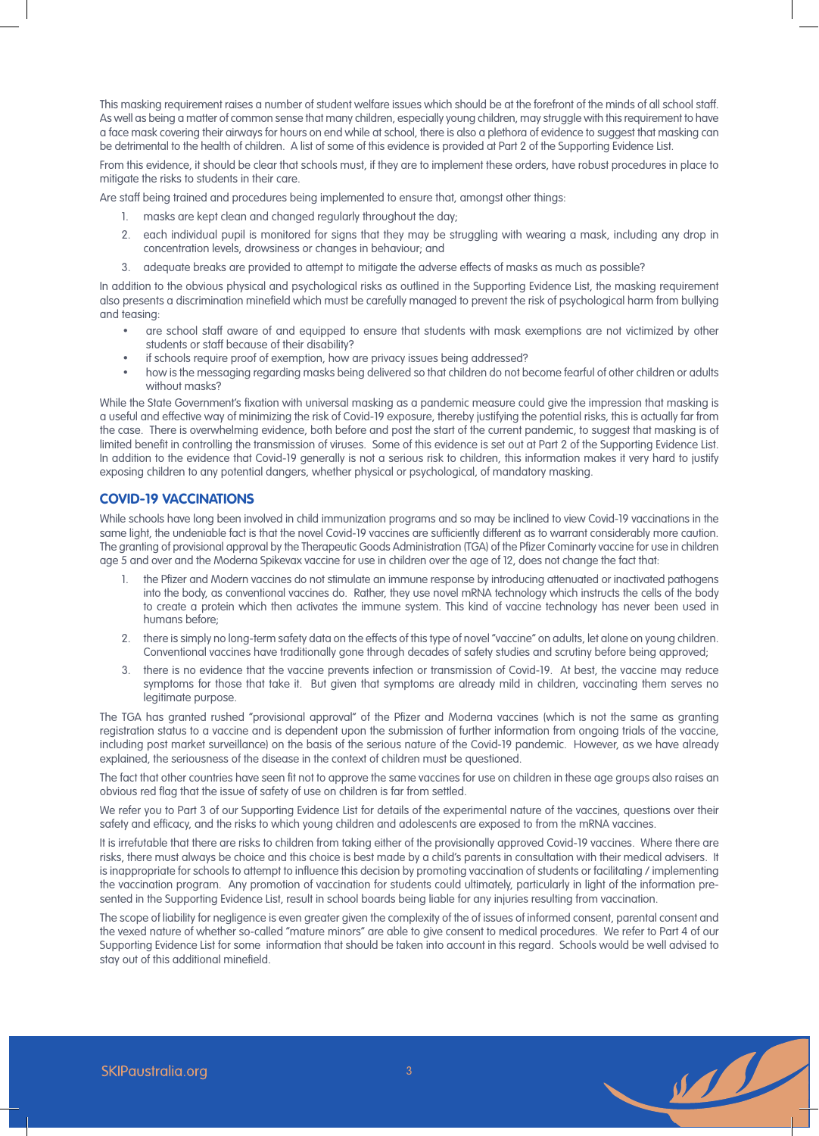This masking requirement raises a number of student welfare issues which should be at the forefront of the minds of all school staff. As well as being a matter of common sense that many children, especially young children, may struggle with this requirement to have a face mask covering their airways for hours on end while at school, there is also a plethora of evidence to suggest that masking can be detrimental to the health of children. A list of some of this evidence is provided at Part 2 of the Supporting Evidence List.

From this evidence, it should be clear that schools must, if they are to implement these orders, have robust procedures in place to mitigate the risks to students in their care.

Are staff being trained and procedures being implemented to ensure that, amongst other things:

- 1. masks are kept clean and changed regularly throughout the day;
- 2. each individual pupil is monitored for signs that they may be struggling with wearing a mask, including any drop in concentration levels, drowsiness or changes in behaviour; and
- 3. adequate breaks are provided to attempt to mitigate the adverse effects of masks as much as possible?

In addition to the obvious physical and psychological risks as outlined in the Supporting Evidence List, the masking requirement also presents a discrimination minefield which must be carefully managed to prevent the risk of psychological harm from bullying and teasing:

- are school staff aware of and equipped to ensure that students with mask exemptions are not victimized by other students or staff because of their disability?
- if schools require proof of exemption, how are privacy issues being addressed?
- how is the messaging regarding masks being delivered so that children do not become fearful of other children or adults without masks?

While the State Government's fixation with universal masking as a pandemic measure could give the impression that masking is a useful and effective way of minimizing the risk of Covid-19 exposure, thereby justifying the potential risks, this is actually far from the case. There is overwhelming evidence, both before and post the start of the current pandemic, to suggest that masking is of limited benefit in controlling the transmission of viruses. Some of this evidence is set out at Part 2 of the Supporting Evidence List. In addition to the evidence that Covid-19 generally is not a serious risk to children, this information makes it very hard to justify exposing children to any potential dangers, whether physical or psychological, of mandatory masking.

# **COVID-19 VACCINATIONS**

While schools have long been involved in child immunization programs and so may be inclined to view Covid-19 vaccinations in the same light, the undeniable fact is that the novel Covid-19 vaccines are sufficiently different as to warrant considerably more caution. The granting of provisional approval by the Therapeutic Goods Administration (TGA) of the Pfizer Cominarty vaccine for use in children age 5 and over and the Moderna Spikevax vaccine for use in children over the age of 12, does not change the fact that:

- 1. the Pfizer and Modern vaccines do not stimulate an immune response by introducing attenuated or inactivated pathogens into the body, as conventional vaccines do. Rather, they use novel mRNA technology which instructs the cells of the body to create a protein which then activates the immune system. This kind of vaccine technology has never been used in humans before;
- 2. there is simply no long-term safety data on the effects of this type of novel "vaccine" on adults, let alone on young children. Conventional vaccines have traditionally gone through decades of safety studies and scrutiny before being approved;
- 3. there is no evidence that the vaccine prevents infection or transmission of Covid-19. At best, the vaccine may reduce symptoms for those that take it. But given that symptoms are already mild in children, vaccinating them serves no legitimate purpose.

The TGA has granted rushed "provisional approval" of the Pfizer and Moderna vaccines (which is not the same as granting registration status to a vaccine and is dependent upon the submission of further information from ongoing trials of the vaccine, including post market surveillance) on the basis of the serious nature of the Covid-19 pandemic. However, as we have already explained, the seriousness of the disease in the context of children must be questioned.

The fact that other countries have seen fit not to approve the same vaccines for use on children in these age groups also raises an obvious red flag that the issue of safety of use on children is far from settled.

We refer you to Part 3 of our Supporting Evidence List for details of the experimental nature of the vaccines, questions over their safety and efficacy, and the risks to which young children and adolescents are exposed to from the mRNA vaccines.

It is irrefutable that there are risks to children from taking either of the provisionally approved Covid-19 vaccines. Where there are risks, there must always be choice and this choice is best made by a child's parents in consultation with their medical advisers. It is inappropriate for schools to attempt to influence this decision by promoting vaccination of students or facilitating / implementing the vaccination program. Any promotion of vaccination for students could ultimately, particularly in light of the information presented in the Supporting Evidence List, result in school boards being liable for any injuries resulting from vaccination.

The scope of liability for negligence is even greater given the complexity of the of issues of informed consent, parental consent and the vexed nature of whether so-called "mature minors" are able to give consent to medical procedures. We refer to Part 4 of our Supporting Evidence List for some information that should be taken into account in this regard. Schools would be well advised to stay out of this additional minefield.

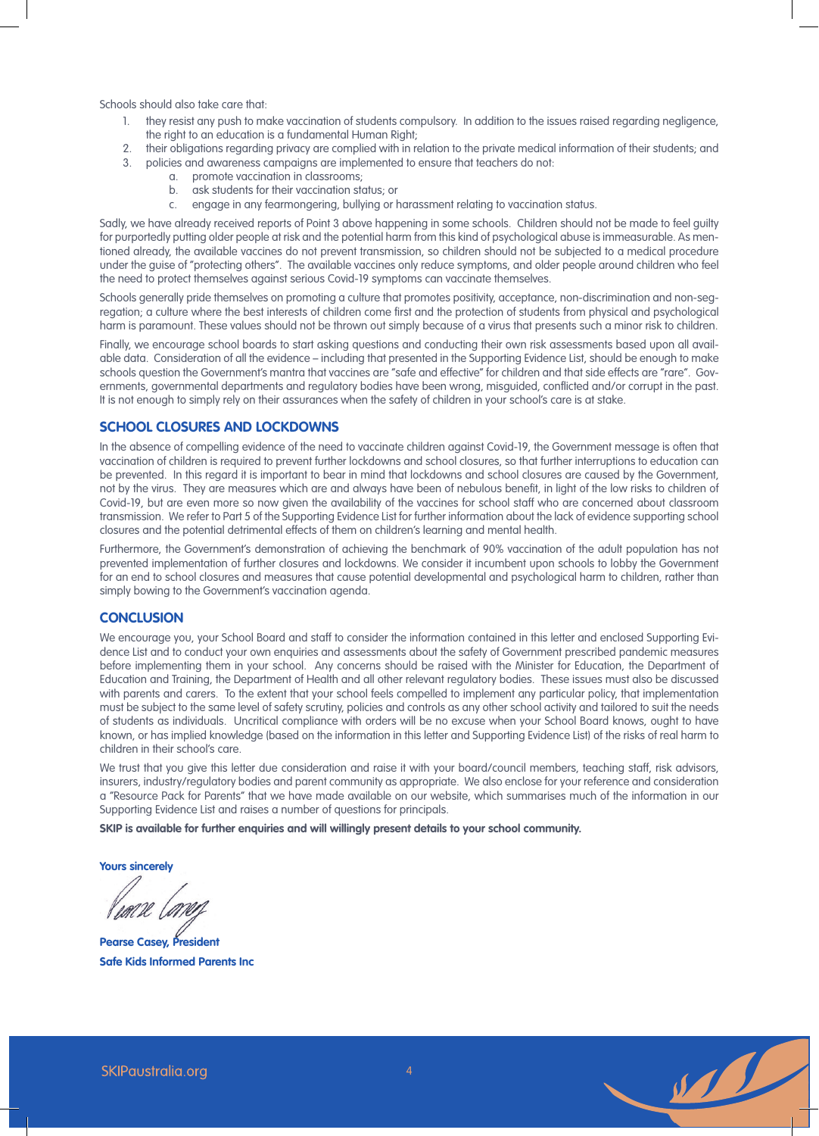Schools should also take care that:

- 1. they resist any push to make vaccination of students compulsory. In addition to the issues raised regarding negligence, the right to an education is a fundamental Human Right;
- 2. their obligations regarding privacy are complied with in relation to the private medical information of their students; and
- 3. policies and awareness campaigns are implemented to ensure that teachers do not:
	- a. promote vaccination in classrooms;
	- b. ask students for their vaccination status; or
	- c. engage in any fearmongering, bullying or harassment relating to vaccination status.

Sadly, we have already received reports of Point 3 above happening in some schools. Children should not be made to feel guilty for purportedly putting older people at risk and the potential harm from this kind of psychological abuse is immeasurable. As mentioned already, the available vaccines do not prevent transmission, so children should not be subjected to a medical procedure under the guise of "protecting others". The available vaccines only reduce symptoms, and older people around children who feel the need to protect themselves against serious Covid-19 symptoms can vaccinate themselves.

Schools generally pride themselves on promoting a culture that promotes positivity, acceptance, non-discrimination and non-segregation; a culture where the best interests of children come first and the protection of students from physical and psychological harm is paramount. These values should not be thrown out simply because of a virus that presents such a minor risk to children.

Finally, we encourage school boards to start asking questions and conducting their own risk assessments based upon all available data. Consideration of all the evidence – including that presented in the Supporting Evidence List, should be enough to make schools question the Government's mantra that vaccines are "safe and effective" for children and that side effects are "rare". Governments, governmental departments and regulatory bodies have been wrong, misguided, conflicted and/or corrupt in the past. It is not enough to simply rely on their assurances when the safety of children in your school's care is at stake.

# **SCHOOL CLOSURES AND LOCKDOWNS**

In the absence of compelling evidence of the need to vaccinate children against Covid-19, the Government message is often that vaccination of children is required to prevent further lockdowns and school closures, so that further interruptions to education can be prevented. In this regard it is important to bear in mind that lockdowns and school closures are caused by the Government, not by the virus. They are measures which are and always have been of nebulous benefit, in light of the low risks to children of Covid-19, but are even more so now given the availability of the vaccines for school staff who are concerned about classroom transmission. We refer to Part 5 of the Supporting Evidence List for further information about the lack of evidence supporting school closures and the potential detrimental effects of them on children's learning and mental health.

Furthermore, the Government's demonstration of achieving the benchmark of 90% vaccination of the adult population has not prevented implementation of further closures and lockdowns. We consider it incumbent upon schools to lobby the Government for an end to school closures and measures that cause potential developmental and psychological harm to children, rather than simply bowing to the Government's vaccination agenda.

# **CONCLUSION**

We encourage you, your School Board and staff to consider the information contained in this letter and enclosed Supporting Evidence List and to conduct your own enquiries and assessments about the safety of Government prescribed pandemic measures before implementing them in your school. Any concerns should be raised with the Minister for Education, the Department of Education and Training, the Department of Health and all other relevant regulatory bodies. These issues must also be discussed with parents and carers. To the extent that your school feels compelled to implement any particular policy, that implementation must be subject to the same level of safety scrutiny, policies and controls as any other school activity and tailored to suit the needs of students as individuals. Uncritical compliance with orders will be no excuse when your School Board knows, ought to have known, or has implied knowledge (based on the information in this letter and Supporting Evidence List) of the risks of real harm to children in their school's care.

We trust that you give this letter due consideration and raise it with your board/council members, teaching staff, risk advisors, insurers, industry/regulatory bodies and parent community as appropriate. We also enclose for your reference and consideration a "Resource Pack for Parents" that we have made available on our website, which summarises much of the information in our Supporting Evidence List and raises a number of questions for principals.

**SKIP is available for further enquiries and will willingly present details to your school community.**

**Yours sincerely**

**Pearse Casey, President Safe Kids Informed Parents Inc**

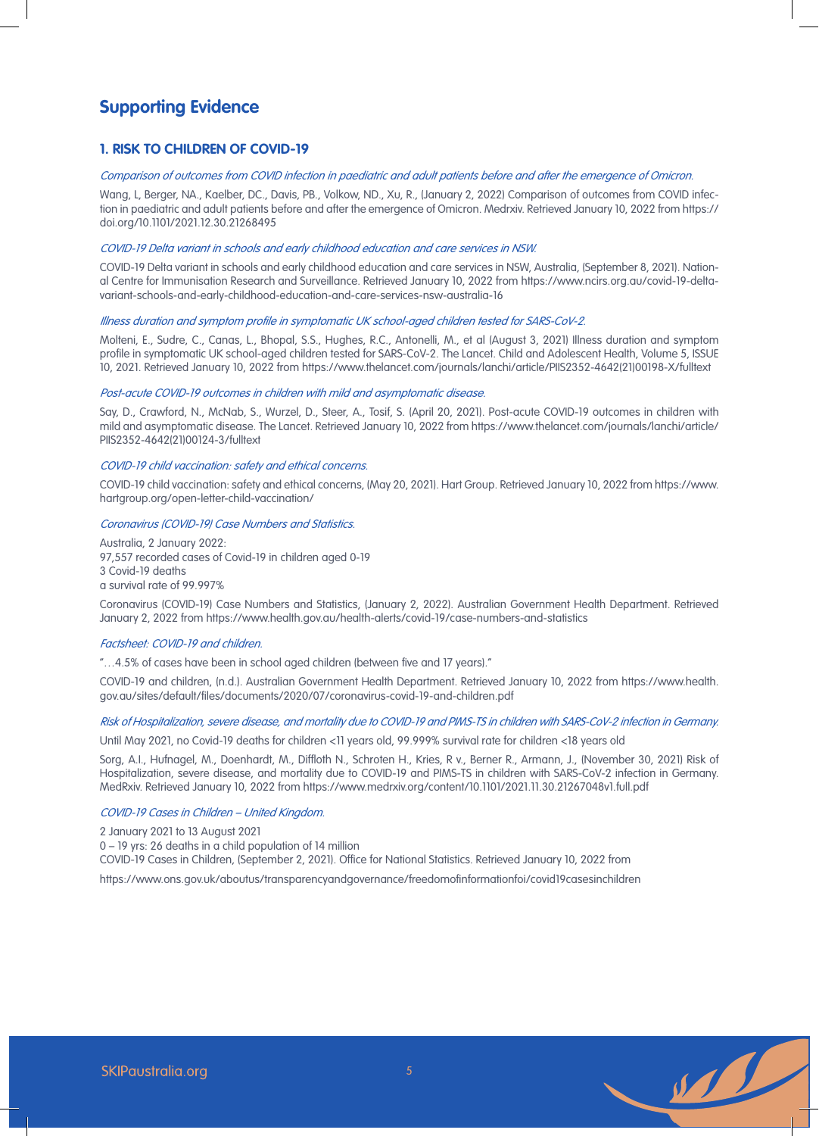# **Supporting Evidence**

# **1. RISK TO CHILDREN OF COVID-19**

### Comparison of outcomes from COVID infection in paediatric and adult patients before and after the emergence of Omicron.

Wang, L, Berger, NA., Kaelber, DC., Davis, PB., Volkow, ND., Xu, R., (January 2, 2022) Comparison of outcomes from COVID infection in paediatric and adult patients before and after the emergence of Omicron. Medrxiv. Retrieved January 10, 2022 from https:// doi.org/10.1101/2021.12.30.21268495

#### COVID-19 Delta variant in schools and early childhood education and care services in NSW.

COVID-19 Delta variant in schools and early childhood education and care services in NSW, Australia, (September 8, 2021). National Centre for Immunisation Research and Surveillance. Retrieved January 10, 2022 from https://www.ncirs.org.au/covid-19-deltavariant-schools-and-early-childhood-education-and-care-services-nsw-australia-16

#### Illness duration and symptom profile in symptomatic UK school-aged children tested for SARS-CoV-2.

Molteni, E., Sudre, C., Canas, L., Bhopal, S.S., Hughes, R.C., Antonelli, M., et al (August 3, 2021) Illness duration and symptom profile in symptomatic UK school-aged children tested for SARS-CoV-2. The Lancet. Child and Adolescent Health, Volume 5, ISSUE 10, 2021. Retrieved January 10, 2022 from https://www.thelancet.com/journals/lanchi/article/PIIS2352-4642(21)00198-X/fulltext

### Post-acute COVID-19 outcomes in children with mild and asymptomatic disease.

Say, D., Crawford, N., McNab, S., Wurzel, D., Steer, A., Tosif, S. (April 20, 2021). Post-acute COVID-19 outcomes in children with mild and asymptomatic disease. The Lancet. Retrieved January 10, 2022 from https://www.thelancet.com/journals/lanchi/article/ PIIS2352-4642(21)00124-3/fulltext

#### COVID-19 child vaccination: safety and ethical concerns.

COVID-19 child vaccination: safety and ethical concerns, (May 20, 2021). Hart Group. Retrieved January 10, 2022 from https://www. hartgroup.org/open-letter-child-vaccination/

#### Coronavirus (COVID-19) Case Numbers and Statistics.

Australia, 2 January 2022: 97,557 recorded cases of Covid-19 in children aged 0-19 3 Covid-19 deaths a survival rate of 99.997%

Coronavirus (COVID-19) Case Numbers and Statistics, (January 2, 2022). Australian Government Health Department. Retrieved January 2, 2022 from https://www.health.gov.au/health-alerts/covid-19/case-numbers-and-statistics

#### Factsheet: COVID-19 and children.

"…4.5% of cases have been in school aged children (between five and 17 years)."

COVID-19 and children, (n.d.). Australian Government Health Department. Retrieved January 10, 2022 from https://www.health. gov.au/sites/default/files/documents/2020/07/coronavirus-covid-19-and-children.pdf

# Risk of Hospitalization, severe disease, and mortality due to COVID-19 and PIMS-TS in children with SARS-CoV-2 infection in Germany.

Until May 2021, no Covid-19 deaths for children <11 years old, 99.999% survival rate for children <18 years old

Sorg, A.I., Hufnagel, M., Doenhardt, M., Diffloth N., Schroten H., Kries, R v., Berner R., Armann, J., (November 30, 2021) Risk of Hospitalization, severe disease, and mortality due to COVID-19 and PIMS-TS in children with SARS-CoV-2 infection in Germany. MedRxiv. Retrieved January 10, 2022 from https://www.medrxiv.org/content/10.1101/2021.11.30.21267048v1.full.pdf

#### COVID-19 Cases in Children – United Kingdom.

2 January 2021 to 13 August 2021

0 – 19 yrs: 26 deaths in a child population of 14 million

COVID-19 Cases in Children, (September 2, 2021). Office for National Statistics. Retrieved January 10, 2022 from

https://www.ons.gov.uk/aboutus/transparencyandgovernance/freedomofinformationfoi/covid19casesinchildren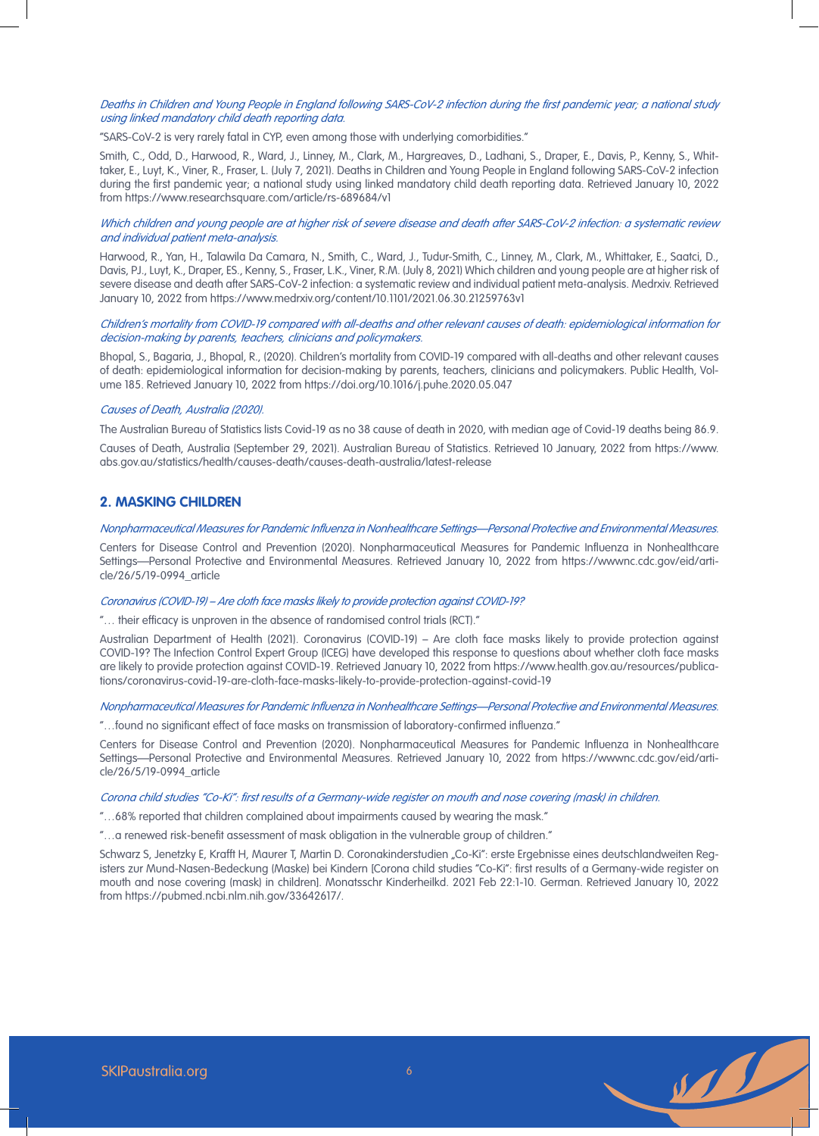### Deaths in Children and Young People in England following SARS-CoV-2 infection during the first pandemic year; a national study using linked mandatory child death reporting data.

"SARS-CoV-2 is very rarely fatal in CYP, even among those with underlying comorbidities."

Smith, C., Odd, D., Harwood, R., Ward, J., Linney, M., Clark, M., Hargreaves, D., Ladhani, S., Draper, E., Davis, P., Kenny, S., Whittaker, E., Luyt, K., Viner, R., Fraser, L. (July 7, 2021). Deaths in Children and Young People in England following SARS-CoV-2 infection during the first pandemic year; a national study using linked mandatory child death reporting data. Retrieved January 10, 2022 from https://www.researchsquare.com/article/rs-689684/v1

# Which children and young people are at higher risk of severe disease and death after SARS-CoV-2 infection: a systematic review and individual patient meta-analysis.

Harwood, R., Yan, H., Talawila Da Camara, N., Smith, C., Ward, J., Tudur-Smith, C., Linney, M., Clark, M., Whittaker, E., Saatci, D., Davis, PJ., Luyt, K., Draper, ES., Kenny, S., Fraser, L.K., Viner, R.M. (July 8, 2021) Which children and young people are at higher risk of severe disease and death after SARS-CoV-2 infection: a systematic review and individual patient meta-analysis. Medrxiv. Retrieved January 10, 2022 from https://www.medrxiv.org/content/10.1101/2021.06.30.21259763v1

# Children's mortality from COVID-19 compared with all-deaths and other relevant causes of death: epidemiological information for decision-making by parents, teachers, clinicians and policymakers.

Bhopal, S., Bagaria, J., Bhopal, R., (2020). Children's mortality from COVID-19 compared with all-deaths and other relevant causes of death: epidemiological information for decision-making by parents, teachers, clinicians and policymakers. Public Health, Volume 185. Retrieved January 10, 2022 from https://doi.org/10.1016/j.puhe.2020.05.047

#### Causes of Death, Australia (2020).

The Australian Bureau of Statistics lists Covid-19 as no 38 cause of death in 2020, with median age of Covid-19 deaths being 86.9. Causes of Death, Australia (September 29, 2021). Australian Bureau of Statistics. Retrieved 10 January, 2022 from https://www. abs.gov.au/statistics/health/causes-death/causes-death-australia/latest-release

# **2. MASKING CHILDREN**

Nonpharmaceutical Measures for Pandemic Influenza in Nonhealthcare Settings—Personal Protective and Environmental Measures.

Centers for Disease Control and Prevention (2020). Nonpharmaceutical Measures for Pandemic Influenza in Nonhealthcare Settings—Personal Protective and Environmental Measures. Retrieved January 10, 2022 from https://wwwnc.cdc.gov/eid/article/26/5/19-0994\_article

#### Coronavirus (COVID-19) – Are cloth face masks likely to provide protection against COVID-19?

"… their efficacy is unproven in the absence of randomised control trials (RCT)."

Australian Department of Health (2021). Coronavirus (COVID-19) – Are cloth face masks likely to provide protection against COVID-19? The Infection Control Expert Group (ICEG) have developed this response to questions about whether cloth face masks are likely to provide protection against COVID-19. Retrieved January 10, 2022 from https://www.health.gov.au/resources/publications/coronavirus-covid-19-are-cloth-face-masks-likely-to-provide-protection-against-covid-19

#### Nonpharmaceutical Measures for Pandemic Influenza in Nonhealthcare Settings—Personal Protective and Environmental Measures.

"…found no significant effect of face masks on transmission of laboratory-confirmed influenza."

Centers for Disease Control and Prevention (2020). Nonpharmaceutical Measures for Pandemic Influenza in Nonhealthcare Settings—Personal Protective and Environmental Measures. Retrieved January 10, 2022 from https://wwwnc.cdc.gov/eid/article/26/5/19-0994\_article

#### Corona child studies "Co-Ki": first results of a Germany-wide register on mouth and nose covering (mask) in children.

"…68% reported that children complained about impairments caused by wearing the mask."

"…a renewed risk-benefit assessment of mask obligation in the vulnerable group of children."

Schwarz S, Jenetzky E, Krafft H, Maurer T, Martin D. Coronakinderstudien "Co-Ki": erste Ergebnisse eines deutschlandweiten Registers zur Mund-Nasen-Bedeckung (Maske) bei Kindern [Corona child studies "Co-Ki": first results of a Germany-wide register on mouth and nose covering (mask) in children]. Monatsschr Kinderheilkd. 2021 Feb 22:1-10. German. Retrieved January 10, 2022 from https://pubmed.ncbi.nlm.nih.gov/33642617/.

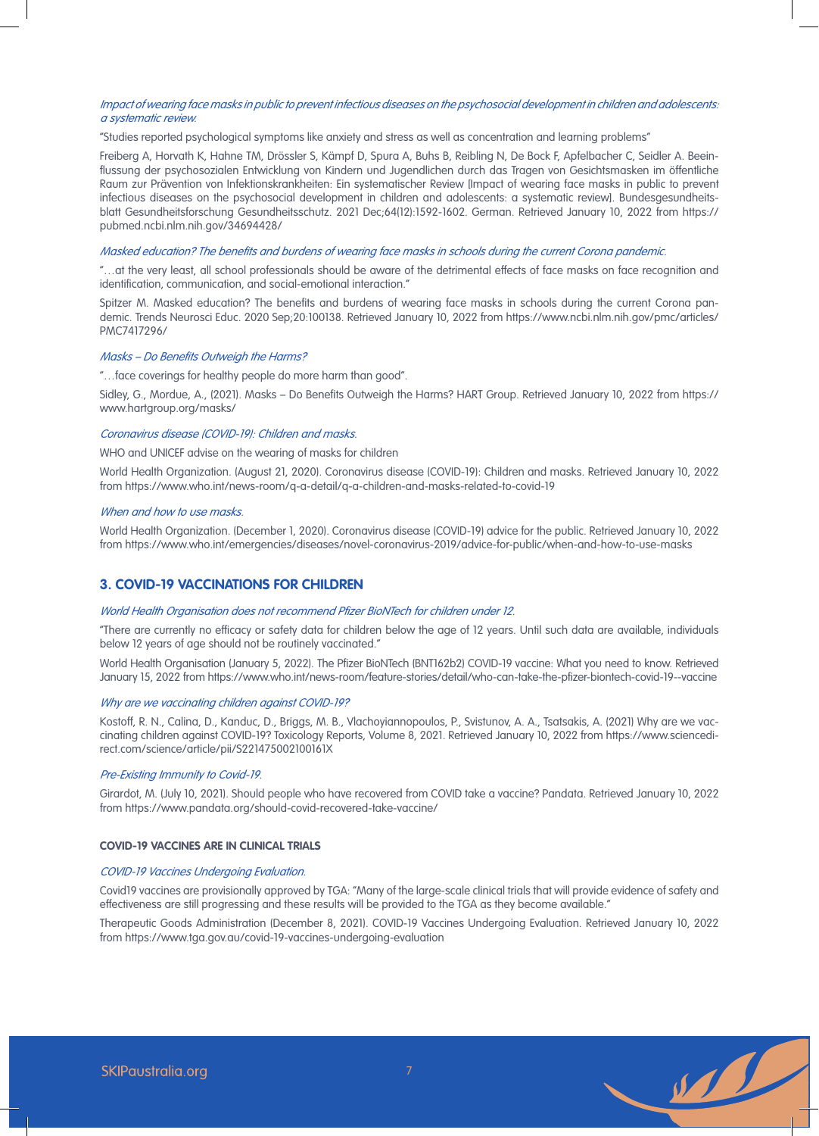### Impact of wearing face masks in public to prevent infectious diseases on the psychosocial development in children and adolescents: a systematic review.

"Studies reported psychological symptoms like anxiety and stress as well as concentration and learning problems"

Freiberg A, Horvath K, Hahne TM, Drössler S, Kämpf D, Spura A, Buhs B, Reibling N, De Bock F, Apfelbacher C, Seidler A. Beeinflussung der psychosozialen Entwicklung von Kindern und Jugendlichen durch das Tragen von Gesichtsmasken im öffentliche Raum zur Prävention von Infektionskrankheiten: Ein systematischer Review [Impact of wearing face masks in public to prevent infectious diseases on the psychosocial development in children and adolescents: a systematic review]. Bundesgesundheitsblatt Gesundheitsforschung Gesundheitsschutz. 2021 Dec;64(12):1592-1602. German. Retrieved January 10, 2022 from https:// pubmed.ncbi.nlm.nih.gov/34694428/

# Masked education? The benefits and burdens of wearing face masks in schools during the current Corona pandemic.

"…at the very least, all school professionals should be aware of the detrimental effects of face masks on face recognition and identification, communication, and social-emotional interaction."

Spitzer M. Masked education? The benefits and burdens of wearing face masks in schools during the current Corona pandemic. Trends Neurosci Educ. 2020 Sep;20:100138. Retrieved January 10, 2022 from https://www.ncbi.nlm.nih.gov/pmc/articles/ PMC7417296/

#### Masks – Do Benefits Outweigh the Harms?

"…face coverings for healthy people do more harm than good".

Sidley, G., Mordue, A., (2021). Masks – Do Benefits Outweigh the Harms? HART Group. Retrieved January 10, 2022 from https:// www.hartgroup.org/masks/

#### Coronavirus disease (COVID-19): Children and masks.

WHO and UNICEF advise on the wearing of masks for children

World Health Organization. (August 21, 2020). Coronavirus disease (COVID-19): Children and masks. Retrieved January 10, 2022 from https://www.who.int/news-room/q-a-detail/q-a-children-and-masks-related-to-covid-19

### When and how to use masks.

World Health Organization. (December 1, 2020). Coronavirus disease (COVID-19) advice for the public. Retrieved January 10, 2022 from https://www.who.int/emergencies/diseases/novel-coronavirus-2019/advice-for-public/when-and-how-to-use-masks

# **3. COVID-19 VACCINATIONS FOR CHILDREN**

#### World Health Organisation does not recommend Pfizer BioNTech for children under 12.

"There are currently no efficacy or safety data for children below the age of 12 years. Until such data are available, individuals below 12 years of age should not be routinely vaccinated."

World Health Organisation (January 5, 2022). The Pfizer BioNTech (BNT162b2) COVID-19 vaccine: What you need to know. Retrieved January 15, 2022 from https://www.who.int/news-room/feature-stories/detail/who-can-take-the-pfizer-biontech-covid-19--vaccine

#### Why are we vaccinating children against COVID-19?

Kostoff, R. N., Calina, D., Kanduc, D., Briggs, M. B., Vlachoyiannopoulos, P., Svistunov, A. A., Tsatsakis, A. (2021) Why are we vaccinating children against COVID-19? Toxicology Reports, Volume 8, 2021. Retrieved January 10, 2022 from https://www.sciencedirect.com/science/article/pii/S221475002100161X

### Pre-Existing Immunity to Covid-19.

Girardot, M. (July 10, 2021). Should people who have recovered from COVID take a vaccine? Pandata. Retrieved January 10, 2022 from https://www.pandata.org/should-covid-recovered-take-vaccine/

### **COVID-19 VACCINES ARE IN CLINICAL TRIALS**

# COVID-19 Vaccines Undergoing Evaluation.

Covid19 vaccines are provisionally approved by TGA: "Many of the large-scale clinical trials that will provide evidence of safety and effectiveness are still progressing and these results will be provided to the TGA as they become available."

Therapeutic Goods Administration (December 8, 2021). COVID-19 Vaccines Undergoing Evaluation. Retrieved January 10, 2022 from https://www.tga.gov.au/covid-19-vaccines-undergoing-evaluation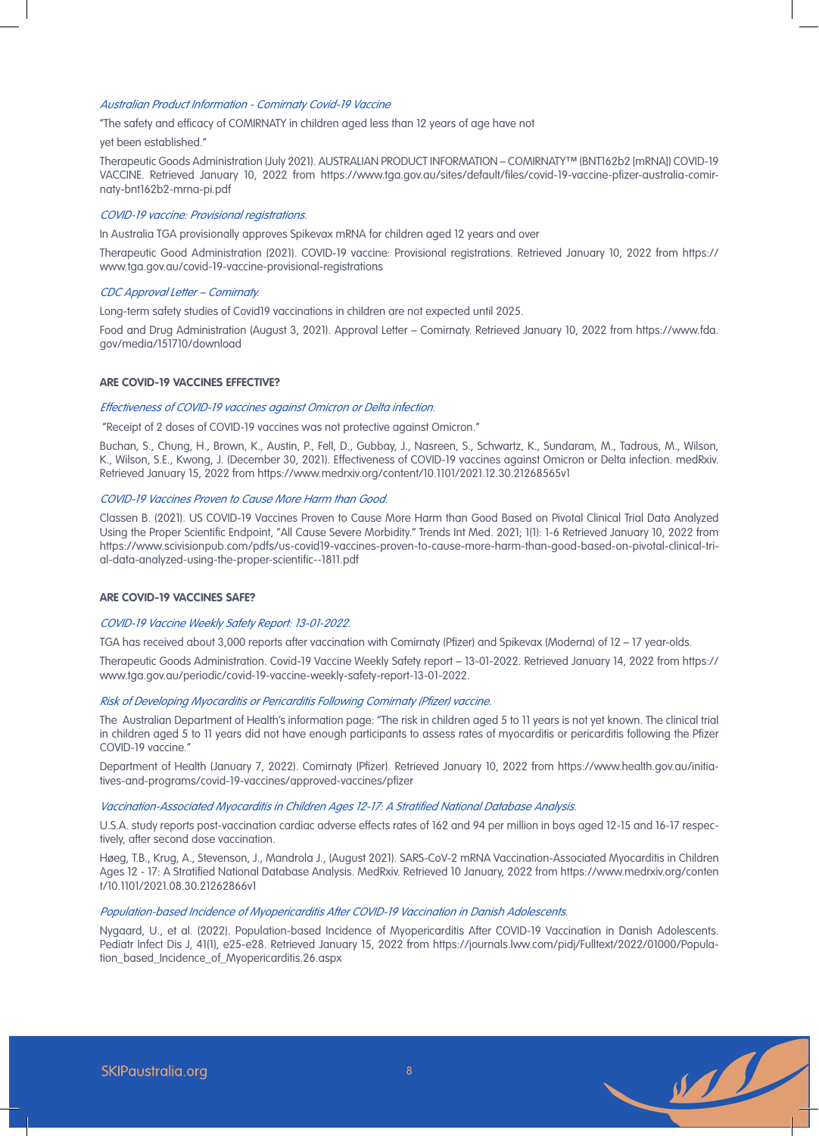#### Australian Product Information - Comirnaty Covid-19 Vaccine

"The safety and efficacy of COMIRNATY in children aged less than 12 years of age have not

#### yet been established."

Therapeutic Goods Administration (July 2021). AUSTRALIAN PRODUCT INFORMATION – COMIRNATY™ (BNT162b2 [mRNA]) COVID-19 VACCINE. Retrieved January 10, 2022 from https://www.tga.gov.au/sites/default/files/covid-19-vaccine-pfizer-australia-comirnaty-bnt162b2-mrna-pi.pdf

#### COVID-19 vaccine: Provisional registrations.

In Australia TGA provisionally approves Spikevax mRNA for children aged 12 years and over

Therapeutic Good Administration (2021). COVID-19 vaccine: Provisional registrations. Retrieved January 10, 2022 from https:// www.tga.gov.au/covid-19-vaccine-provisional-registrations

# CDC Approval Letter – Comirnaty.

Long-term safety studies of Covid19 vaccinations in children are not expected until 2025.

Food and Drug Administration (August 3, 2021). Approval Letter – Comirnaty. Retrieved January 10, 2022 from https://www.fda. gov/media/151710/download

#### **ARE COVID-19 VACCINES EFFECTIVE?**

#### Effectiveness of COVID-19 vaccines against Omicron or Delta infection.

"Receipt of 2 doses of COVID-19 vaccines was not protective against Omicron."

Buchan, S., Chung, H., Brown, K., Austin, P., Fell, D., Gubbay, J., Nasreen, S., Schwartz, K., Sundaram, M., Tadrous, M., Wilson, K., Wilson, S.E., Kwong, J. (December 30, 2021). Effectiveness of COVID-19 vaccines against Omicron or Delta infection. medRxiv. Retrieved January 15, 2022 from https://www.medrxiv.org/content/10.1101/2021.12.30.21268565v1

#### COVID-19 Vaccines Proven to Cause More Harm than Good.

Classen B. (2021). US COVID-19 Vaccines Proven to Cause More Harm than Good Based on Pivotal Clinical Trial Data Analyzed Using the Proper Scientific Endpoint, "All Cause Severe Morbidity." Trends Int Med. 2021; 1(1): 1-6 Retrieved January 10, 2022 from https://www.scivisionpub.com/pdfs/us-covid19-vaccines-proven-to-cause-more-harm-than-good-based-on-pivotal-clinical-trial-data-analyzed-using-the-proper-scientific--1811.pdf

#### **ARE COVID-19 VACCINES SAFE?**

#### COVID-19 Vaccine Weekly Safety Report: 13-01-2022.

TGA has received about 3,000 reports after vaccination with Comirnaty (Pfizer) and Spikevax (Moderna) of 12 – 17 year-olds.

Therapeutic Goods Administration. Covid-19 Vaccine Weekly Safety report – 13-01-2022. Retrieved January 14, 2022 from https:// www.tga.gov.au/periodic/covid-19-vaccine-weekly-safety-report-13-01-2022.

#### Risk of Developing Myocarditis or Pericarditis Following Comirnaty (Pfizer) vaccine.

The Australian Department of Health's information page: "The risk in children aged 5 to 11 years is not yet known. The clinical trial in children aged 5 to 11 years did not have enough participants to assess rates of myocarditis or pericarditis following the Pfizer COVID-19 vaccine."

Department of Health (January 7, 2022). Comirnaty (Pfizer). Retrieved January 10, 2022 from https://www.health.gov.au/initiatives-and-programs/covid-19-vaccines/approved-vaccines/pfizer

#### Vaccination-Associated Myocarditis in Children Ages 12-17: A Stratified National Database Analysis.

U.S.A. study reports post-vaccination cardiac adverse effects rates of 162 and 94 per million in boys aged 12-15 and 16-17 respectively, after second dose vaccination.

Høeg, T.B., Krug, A., Stevenson, J., Mandrola J., (August 2021). SARS-CoV-2 mRNA Vaccination-Associated Myocarditis in Children Ages 12 - 17: A Stratified National Database Analysis. MedRxiv. Retrieved 10 January, 2022 from https://www.medrxiv.org/conten t/10.1101/2021.08.30.21262866v1

#### Population-based Incidence of Myopericarditis After COVID-19 Vaccination in Danish Adolescents.

Nygaard, U., et al. (2022). Population-based Incidence of Myopericarditis After COVID-19 Vaccination in Danish Adolescents. Pediatr Infect Dis J, 41(1), e25-e28. Retrieved January 15, 2022 from https://journals.lww.com/pidj/Fulltext/2022/01000/Population\_based\_Incidence\_of\_Myopericarditis.26.aspx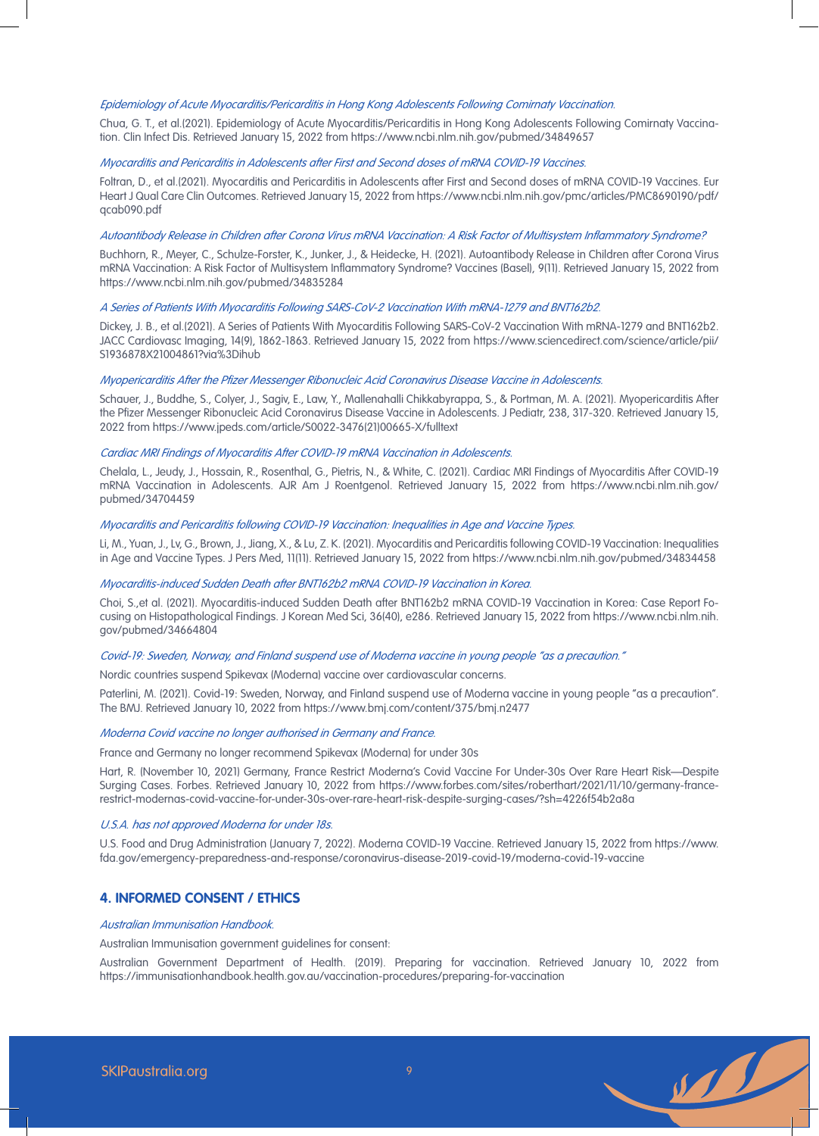# Epidemiology of Acute Myocarditis/Pericarditis in Hong Kong Adolescents Following Comirnaty Vaccination.

Chua, G. T., et al.(2021). Epidemiology of Acute Myocarditis/Pericarditis in Hong Kong Adolescents Following Comirnaty Vaccination. Clin Infect Dis. Retrieved January 15, 2022 from https://www.ncbi.nlm.nih.gov/pubmed/34849657

#### Myocarditis and Pericarditis in Adolescents after First and Second doses of mRNA COVID-19 Vaccines.

Foltran, D., et al.(2021). Myocarditis and Pericarditis in Adolescents after First and Second doses of mRNA COVID-19 Vaccines. Eur Heart J Qual Care Clin Outcomes. Retrieved January 15, 2022 from https://www.ncbi.nlm.nih.gov/pmc/articles/PMC8690190/pdf/ qcab090.pdf

#### Autoantibody Release in Children after Corona Virus mRNA Vaccination: A Risk Factor of Multisystem Inflammatory Syndrome?

Buchhorn, R., Meyer, C., Schulze-Forster, K., Junker, J., & Heidecke, H. (2021). Autoantibody Release in Children after Corona Virus mRNA Vaccination: A Risk Factor of Multisystem Inflammatory Syndrome? Vaccines (Basel), 9(11). Retrieved January 15, 2022 from https://www.ncbi.nlm.nih.gov/pubmed/34835284

#### A Series of Patients With Myocarditis Following SARS-CoV-2 Vaccination With mRNA-1279 and BNT162b2.

Dickey, J. B., et al.(2021). A Series of Patients With Myocarditis Following SARS-CoV-2 Vaccination With mRNA-1279 and BNT162b2. JACC Cardiovasc Imaging, 14(9), 1862-1863. Retrieved January 15, 2022 from https://www.sciencedirect.com/science/article/pii/ S1936878X21004861?via%3Dihub

#### Myopericarditis After the Pfizer Messenger Ribonucleic Acid Coronavirus Disease Vaccine in Adolescents.

Schauer, J., Buddhe, S., Colyer, J., Sagiv, E., Law, Y., Mallenahalli Chikkabyrappa, S., & Portman, M. A. (2021). Myopericarditis After the Pfizer Messenger Ribonucleic Acid Coronavirus Disease Vaccine in Adolescents. J Pediatr, 238, 317-320. Retrieved January 15, 2022 from https://www.jpeds.com/article/S0022-3476(21)00665-X/fulltext

### Cardiac MRI Findings of Myocarditis After COVID-19 mRNA Vaccination in Adolescents.

Chelala, L., Jeudy, J., Hossain, R., Rosenthal, G., Pietris, N., & White, C. (2021). Cardiac MRI Findings of Myocarditis After COVID-19 mRNA Vaccination in Adolescents. AJR Am J Roentgenol. Retrieved January 15, 2022 from https://www.ncbi.nlm.nih.gov/ pubmed/34704459

# Myocarditis and Pericarditis following COVID-19 Vaccination: Inequalities in Age and Vaccine Types.

Li, M., Yuan, J., Lv, G., Brown, J., Jiang, X., & Lu, Z. K. (2021). Myocarditis and Pericarditis following COVID-19 Vaccination: Inequalities in Age and Vaccine Types. J Pers Med, 11(11). Retrieved January 15, 2022 from https://www.ncbi.nlm.nih.gov/pubmed/34834458

# Myocarditis-induced Sudden Death after BNT162b2 mRNA COVID-19 Vaccination in Korea.

Choi, S.,et al. (2021). Myocarditis-induced Sudden Death after BNT162b2 mRNA COVID-19 Vaccination in Korea: Case Report Focusing on Histopathological Findings. J Korean Med Sci, 36(40), e286. Retrieved January 15, 2022 from https://www.ncbi.nlm.nih. gov/pubmed/34664804

# Covid-19: Sweden, Norway, and Finland suspend use of Moderna vaccine in young people "as a precaution."

Nordic countries suspend Spikevax (Moderna) vaccine over cardiovascular concerns.

Paterlini, M. (2021). Covid-19: Sweden, Norway, and Finland suspend use of Moderna vaccine in young people "as a precaution". The BMJ. Retrieved January 10, 2022 from https://www.bmj.com/content/375/bmj.n2477

### Moderna Covid vaccine no longer authorised in Germany and France.

France and Germany no longer recommend Spikevax (Moderna) for under 30s

Hart, R. (November 10, 2021) Germany, France Restrict Moderna's Covid Vaccine For Under-30s Over Rare Heart Risk—Despite Surging Cases. Forbes. Retrieved January 10, 2022 from https://www.forbes.com/sites/roberthart/2021/11/10/germany-francerestrict-modernas-covid-vaccine-for-under-30s-over-rare-heart-risk-despite-surging-cases/?sh=4226f54b2a8a

#### U.S.A. has not approved Moderna for under 18s.

U.S. Food and Drug Administration (January 7, 2022). Moderna COVID-19 Vaccine. Retrieved January 15, 2022 from https://www. fda.gov/emergency-preparedness-and-response/coronavirus-disease-2019-covid-19/moderna-covid-19-vaccine

# **4. INFORMED CONSENT / ETHICS**

#### Australian Immunisation Handbook.

Australian Immunisation government guidelines for consent:

Australian Government Department of Health. (2019). Preparing for vaccination. Retrieved January 10, 2022 from https://immunisationhandbook.health.gov.au/vaccination-procedures/preparing-for-vaccination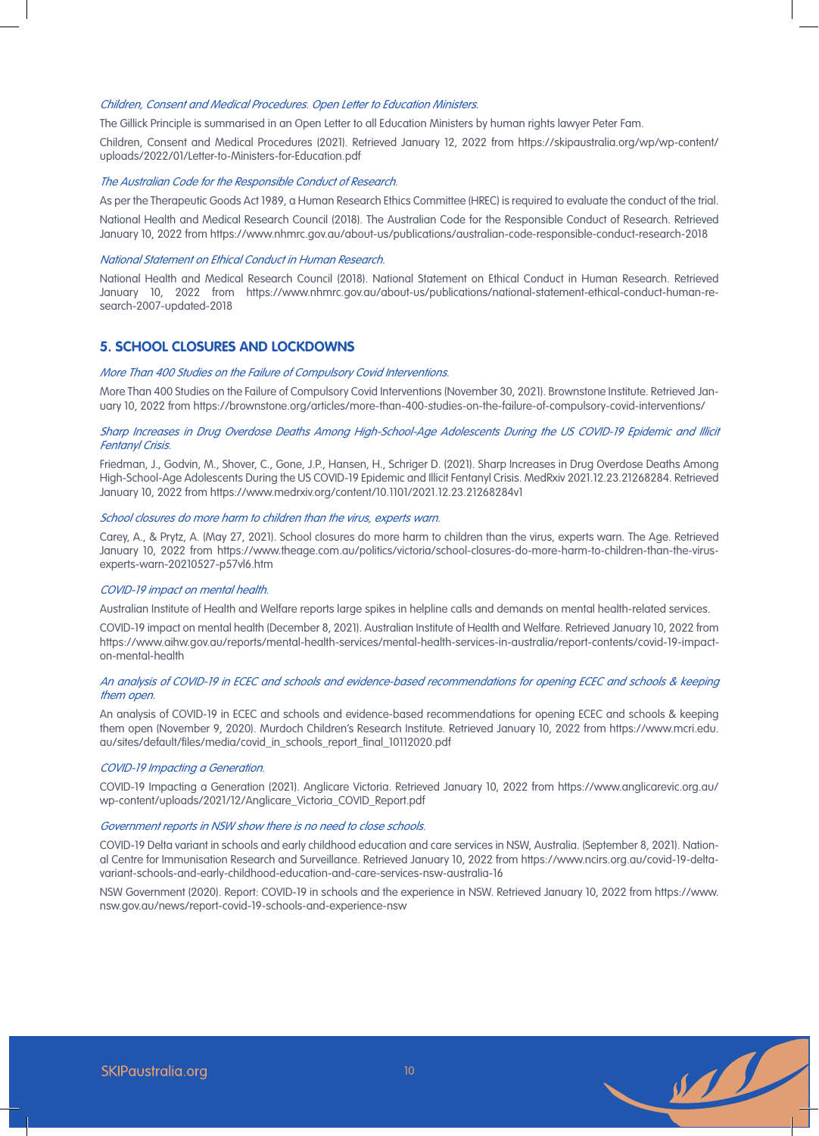# Children, Consent and Medical Procedures. Open Letter to Education Ministers.

The Gillick Principle is summarised in an Open Letter to all Education Ministers by human rights lawyer Peter Fam.

Children, Consent and Medical Procedures (2021). Retrieved January 12, 2022 from https://skipaustralia.org/wp/wp-content/ uploads/2022/01/Letter-to-Ministers-for-Education.pdf

# The Australian Code for the Responsible Conduct of Research.

As per the Therapeutic Goods Act 1989, a Human Research Ethics Committee (HREC) is required to evaluate the conduct of the trial.

National Health and Medical Research Council (2018). The Australian Code for the Responsible Conduct of Research. Retrieved January 10, 2022 from https://www.nhmrc.gov.au/about-us/publications/australian-code-responsible-conduct-research-2018

#### National Statement on Ethical Conduct in Human Research.

National Health and Medical Research Council (2018). National Statement on Ethical Conduct in Human Research. Retrieved January 10, 2022 from https://www.nhmrc.gov.au/about-us/publications/national-statement-ethical-conduct-human-research-2007-updated-2018

# **5. SCHOOL CLOSURES AND LOCKDOWNS**

#### More Than 400 Studies on the Failure of Compulsory Covid Interventions.

More Than 400 Studies on the Failure of Compulsory Covid Interventions (November 30, 2021). Brownstone Institute. Retrieved January 10, 2022 from https://brownstone.org/articles/more-than-400-studies-on-the-failure-of-compulsory-covid-interventions/

# Sharp Increases in Drug Overdose Deaths Among High-School-Age Adolescents During the US COVID-19 Epidemic and Illicit Fentanyl Crisis.

Friedman, J., Godvin, M., Shover, C., Gone, J.P., Hansen, H., Schriger D. (2021). Sharp Increases in Drug Overdose Deaths Among High-School-Age Adolescents During the US COVID-19 Epidemic and Illicit Fentanyl Crisis. MedRxiv 2021.12.23.21268284. Retrieved January 10, 2022 from https://www.medrxiv.org/content/10.1101/2021.12.23.21268284v1

#### School closures do more harm to children than the virus, experts warn.

Carey, A., & Prytz, A. (May 27, 2021). School closures do more harm to children than the virus, experts warn. The Age. Retrieved January 10, 2022 from https://www.theage.com.au/politics/victoria/school-closures-do-more-harm-to-children-than-the-virusexperts-warn-20210527-p57vl6.htm

#### COVID-19 impact on mental health.

Australian Institute of Health and Welfare reports large spikes in helpline calls and demands on mental health-related services.

COVID-19 impact on mental health (December 8, 2021). Australian Institute of Health and Welfare. Retrieved January 10, 2022 from https://www.aihw.gov.au/reports/mental-health-services/mental-health-services-in-australia/report-contents/covid-19-impacton-mental-health

# An analysis of COVID-19 in ECEC and schools and evidence-based recommendations for opening ECEC and schools & keeping them open.

An analysis of COVID-19 in ECEC and schools and evidence-based recommendations for opening ECEC and schools & keeping them open (November 9, 2020). Murdoch Children's Research Institute. Retrieved January 10, 2022 from https://www.mcri.edu. au/sites/default/files/media/covid\_in\_schools\_report\_final\_10112020.pdf

### COVID-19 Impacting a Generation.

COVID-19 Impacting a Generation (2021). Anglicare Victoria. Retrieved January 10, 2022 from https://www.anglicarevic.org.au/ wp-content/uploads/2021/12/Anglicare\_Victoria\_COVID\_Report.pdf

# Government reports in NSW show there is no need to close schools.

COVID-19 Delta variant in schools and early childhood education and care services in NSW, Australia. (September 8, 2021). National Centre for Immunisation Research and Surveillance. Retrieved January 10, 2022 from https://www.ncirs.org.au/covid-19-deltavariant-schools-and-early-childhood-education-and-care-services-nsw-australia-16

NSW Government (2020). Report: COVID-19 in schools and the experience in NSW. Retrieved January 10, 2022 from https://www. nsw.gov.au/news/report-covid-19-schools-and-experience-nsw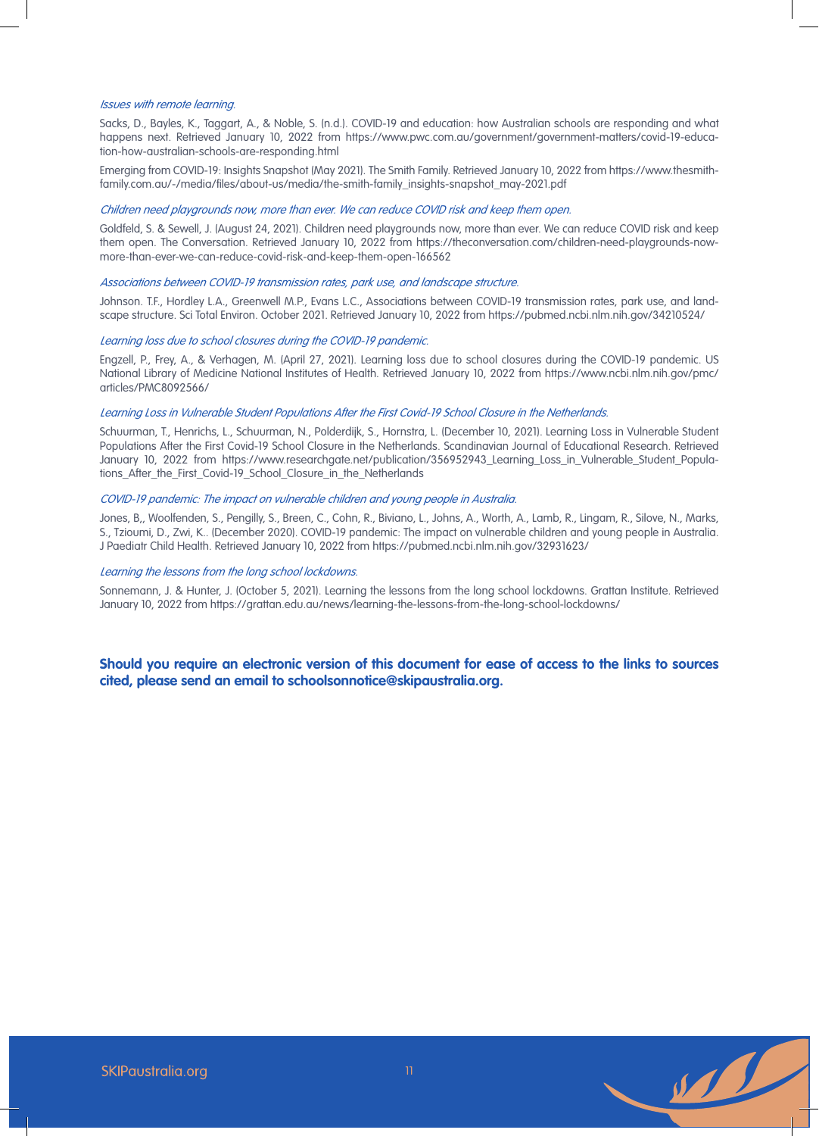#### Issues with remote learning.

Sacks, D., Bayles, K., Taggart, A., & Noble, S. (n.d.). COVID-19 and education: how Australian schools are responding and what happens next. Retrieved January 10, 2022 from https://www.pwc.com.au/government/government-matters/covid-19-education-how-australian-schools-are-responding.html

Emerging from COVID-19: Insights Snapshot (May 2021). The Smith Family. Retrieved January 10, 2022 from https://www.thesmithfamily.com.au/-/media/files/about-us/media/the-smith-family\_insights-snapshot\_may-2021.pdf

#### Children need playgrounds now, more than ever. We can reduce COVID risk and keep them open.

Goldfeld, S. & Sewell, J. (August 24, 2021). Children need playgrounds now, more than ever. We can reduce COVID risk and keep them open. The Conversation. Retrieved January 10, 2022 from https://theconversation.com/children-need-playgrounds-nowmore-than-ever-we-can-reduce-covid-risk-and-keep-them-open-166562

#### Associations between COVID-19 transmission rates, park use, and landscape structure.

Johnson. T.F., Hordley L.A., Greenwell M.P., Evans L.C., Associations between COVID-19 transmission rates, park use, and landscape structure. Sci Total Environ. October 2021. Retrieved January 10, 2022 from https://pubmed.ncbi.nlm.nih.gov/34210524/

# Learning loss due to school closures during the COVID-19 pandemic.

Engzell, P., Frey, A., & Verhagen, M. (April 27, 2021). Learning loss due to school closures during the COVID-19 pandemic. US National Library of Medicine National Institutes of Health. Retrieved January 10, 2022 from https://www.ncbi.nlm.nih.gov/pmc/ articles/PMC8092566/

#### Learning Loss in Vulnerable Student Populations After the First Covid-19 School Closure in the Netherlands.

Schuurman, T., Henrichs, L., Schuurman, N., Polderdijk, S., Hornstra, L. (December 10, 2021). Learning Loss in Vulnerable Student Populations After the First Covid-19 School Closure in the Netherlands. Scandinavian Journal of Educational Research. Retrieved January 10, 2022 from https://www.researchgate.net/publication/356952943\_Learning\_Loss\_in\_Vulnerable\_Student\_Populations\_After\_the\_First\_Covid-19\_School\_Closure\_in\_the\_Netherlands

# COVID-19 pandemic: The impact on vulnerable children and young people in Australia.

Jones, B,, Woolfenden, S., Pengilly, S., Breen, C., Cohn, R., Biviano, L., Johns, A., Worth, A., Lamb, R., Lingam, R., Silove, N., Marks, S., Tzioumi, D., Zwi, K.. (December 2020). COVID-19 pandemic: The impact on vulnerable children and young people in Australia. J Paediatr Child Health. Retrieved January 10, 2022 from https://pubmed.ncbi.nlm.nih.gov/32931623/

## Learning the lessons from the long school lockdowns.

Sonnemann, J. & Hunter, J. (October 5, 2021). Learning the lessons from the long school lockdowns. Grattan Institute. Retrieved January 10, 2022 from https://grattan.edu.au/news/learning-the-lessons-from-the-long-school-lockdowns/

**Should you require an electronic version of this document for ease of access to the links to sources cited, please send an email to schoolsonnotice@skipaustralia.org.**